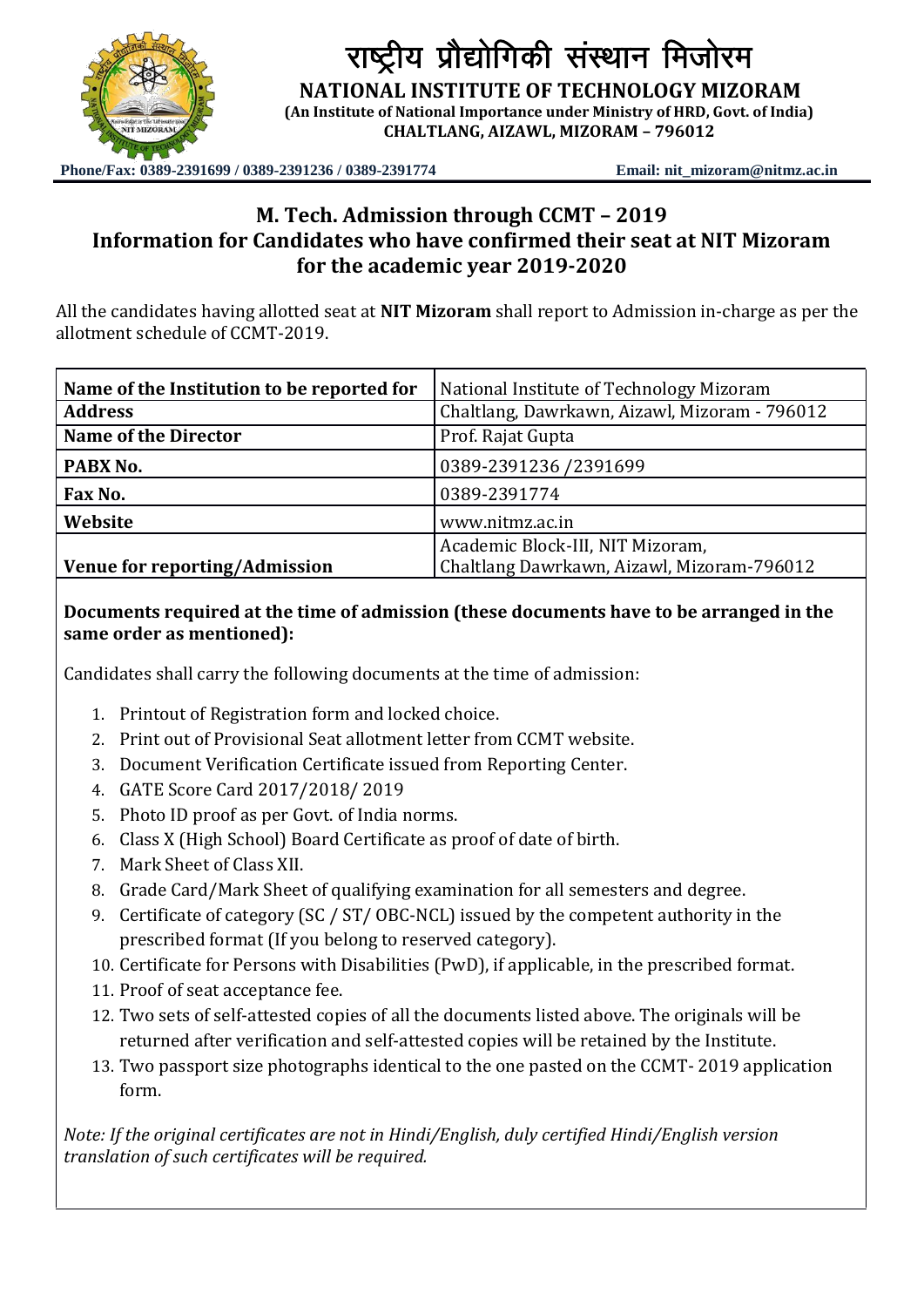

राष्ट्रीय प्रौद्योगिकी संस्थान मिजोरम

**NATIONAL INSTITUTE OF TECHNOLOGY MIZORAM**

**(An Institute of National Importance under Ministry of HRD, Govt. of India) CHALTLANG, AIZAWL, MIZORAM – 796012**

**Phone/Fax: 0389-2391699 / 0389-2391236 / 0389-2391774 Email: nit\_mizoram@nitmz.ac.in**

## **M. Tech. Admission through CCMT – 2019 Information for Candidates who have confirmed their seat at NIT Mizoram for the academic year 2019-2020**

All the candidates having allotted seat at **NIT Mizoram** shall report to Admission in-charge as per the allotment schedule of CCMT-2019.

| Name of the Institution to be reported for | National Institute of Technology Mizoram      |
|--------------------------------------------|-----------------------------------------------|
| <b>Address</b>                             | Chaltlang, Dawrkawn, Aizawl, Mizoram - 796012 |
| <b>Name of the Director</b>                | Prof. Rajat Gupta                             |
| PABX No.                                   | 0389-2391236 /2391699                         |
| Fax No.                                    | 0389-2391774                                  |
| Website                                    | www.nitmz.ac.in                               |
|                                            | Academic Block-III, NIT Mizoram,              |
| <b>Venue for reporting/Admission</b>       | Chaltlang Dawrkawn, Aizawl, Mizoram-796012    |

**Documents required at the time of admission (these documents have to be arranged in the same order as mentioned):**

Candidates shall carry the following documents at the time of admission:

- 1. Printout of Registration form and locked choice.
- 2. Print out of Provisional Seat allotment letter from CCMT website.
- 3. Document Verification Certificate issued from Reporting Center.
- 4. GATE Score Card 2017/2018/ 2019
- 5. Photo ID proof as per Govt. of India norms.
- 6. Class X (High School) Board Certificate as proof of date of birth.
- 7. Mark Sheet of Class XII.
- 8. Grade Card/Mark Sheet of qualifying examination for all semesters and degree.
- 9. Certificate of category (SC / ST/ OBC-NCL) issued by the competent authority in the prescribed format (If you belong to reserved category).
- 10. Certificate for Persons with Disabilities (PwD), if applicable, in the prescribed format.
- 11. Proof of seat acceptance fee.
- 12. Two sets of self-attested copies of all the documents listed above. The originals will be returned after verification and self-attested copies will be retained by the Institute.
- 13. Two passport size photographs identical to the one pasted on the CCMT- 2019 application form.

*Note: If the original certificates are not in Hindi/English, duly certified Hindi/English version translation of such certificates will be required.*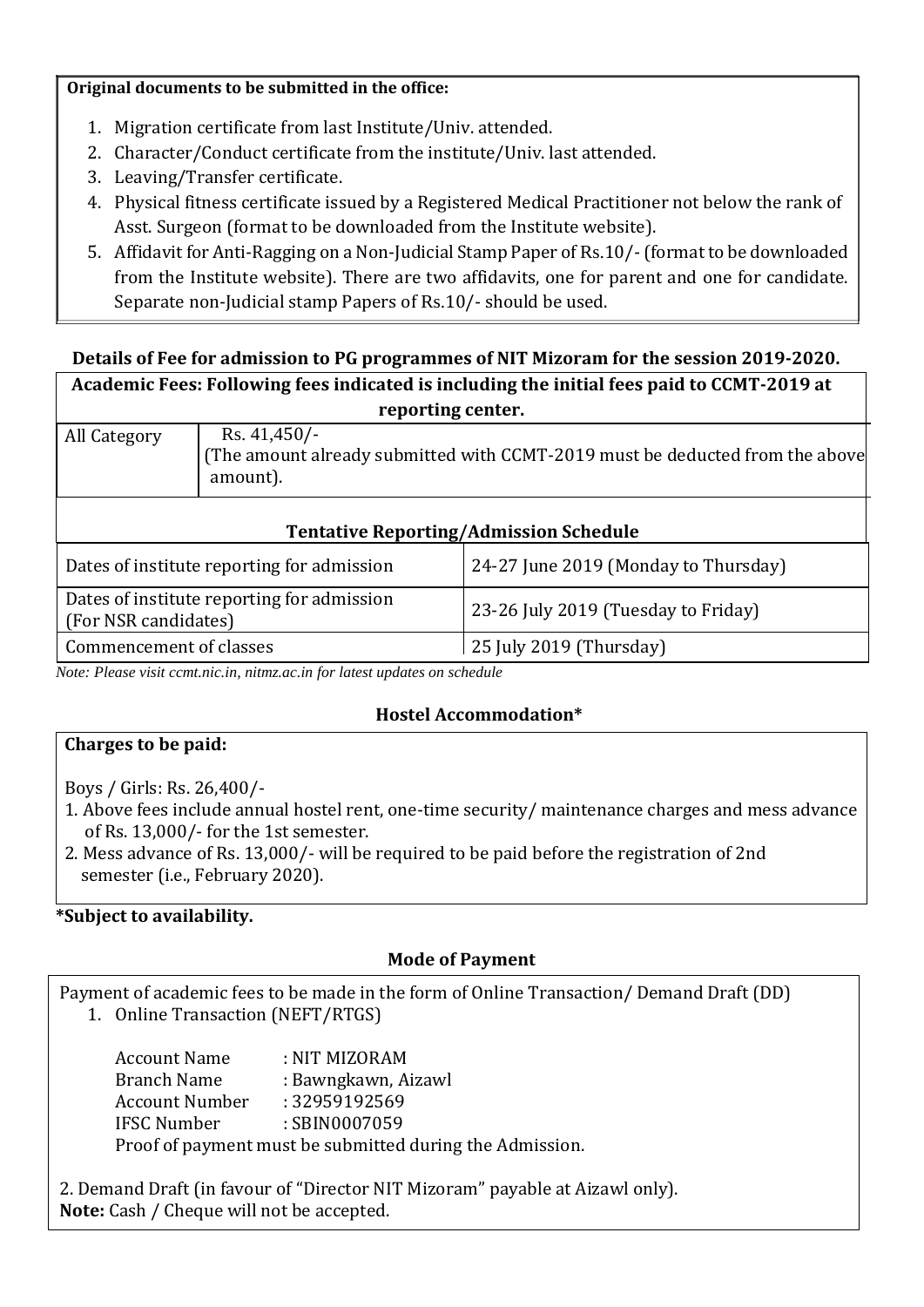#### **Original documents to be submitted in the office:**

- 1. Migration certificate from last Institute/Univ. attended.
- 2. Character/Conduct certificate from the institute/Univ. last attended.
- 3. Leaving/Transfer certificate.
- 4. Physical fitness certificate issued by a Registered Medical Practitioner not below the rank of Asst. Surgeon (format to be downloaded from the Institute website).
- 5. Affidavit for Anti-Ragging on a Non-Judicial Stamp Paper of Rs.10/-(format to be downloaded from the Institute website). There are two affidavits, one for parent and one for candidate. Separate non-Judicial stamp Papers of Rs.10/- should be used.

# **Details of Fee for admission to PG programmes of NIT Mizoram for the session 2019-2020. Academic Fees: Following fees indicated is including the initial fees paid to CCMT-2019 at**

| reporting center.                                                                                                          |                                            |                                      |
|----------------------------------------------------------------------------------------------------------------------------|--------------------------------------------|--------------------------------------|
| Rs. $41,450/-$<br>All Category<br>(The amount already submitted with CCMT-2019 must be deducted from the above<br>amount). |                                            |                                      |
| <b>Tentative Reporting/Admission Schedule</b>                                                                              |                                            |                                      |
|                                                                                                                            | Dates of institute reporting for admission | 24-27 June 2019 (Monday to Thursday) |
| (For NSR candidates)                                                                                                       | Dates of institute reporting for admission | 23-26 July 2019 (Tuesday to Friday)  |

*Note: Please visit ccmt.nic.in, nitmz.ac.in for latest updates on schedule* 

Commencement of classes 25 July 2019 (Thursday)

## **Hostel Accommodation\***

## **Charges to be paid:**

Boys / Girls: Rs. 26,400/-

- 1. Above fees include annual hostel rent, one-time security/ maintenance charges and mess advance of Rs. 13,000/- for the 1st semester.
- 2. Mess advance of Rs. 13,000/- will be required to be paid before the registration of 2nd semester (i.e., February 2020).

## **\*Subject to availability.**

## **Mode of Payment**

Payment of academic fees to be made in the form of Online Transaction/ Demand Draft (DD)

1. Online Transaction (NEFT/RTGS)

| <b>Account Name</b>                                      | : NIT MIZORAM       |  |
|----------------------------------------------------------|---------------------|--|
| Branch Name                                              | : Bawngkawn, Aizawl |  |
| <b>Account Number</b>                                    | : 32959192569       |  |
| <b>IFSC Number</b>                                       | : SBIN0007059       |  |
| Proof of payment must be submitted during the Admission. |                     |  |

2. Demand Draft (in favour of "Director NIT Mizoram" payable at Aizawl only). **Note:** Cash / Cheque will not be accepted.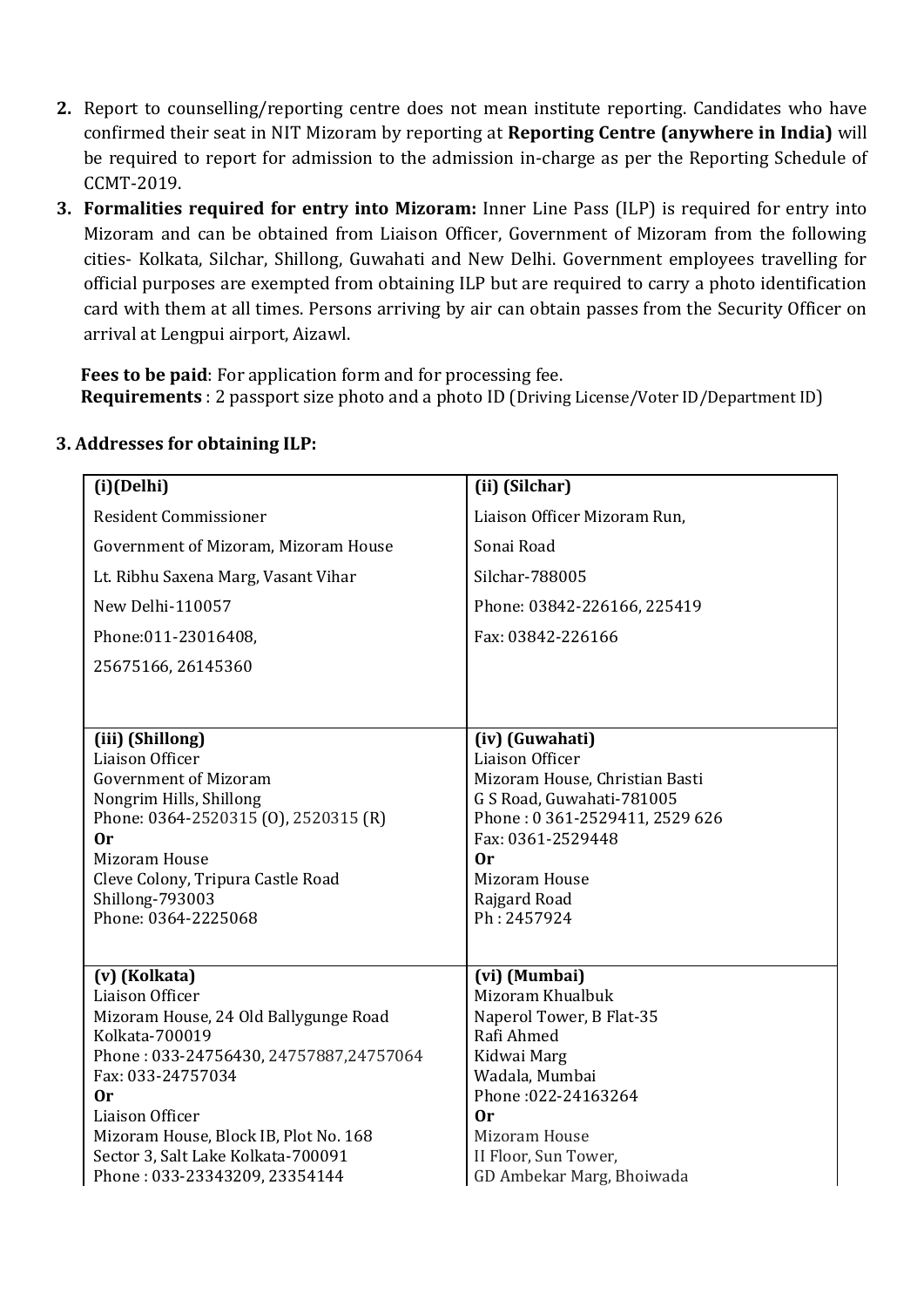- **2.** Report to counselling/reporting centre does not mean institute reporting. Candidates who have confirmed their seat in NIT Mizoram by reporting at **Reporting Centre (anywhere in India)** will be required to report for admission to the admission in-charge as per the Reporting Schedule of CCMT-2019.
- **3. Formalities required for entry into Mizoram:** Inner Line Pass (ILP) is required for entry into Mizoram and can be obtained from Liaison Officer, Government of Mizoram from the following cities- Kolkata, Silchar, Shillong, Guwahati and New Delhi. Government employees travelling for official purposes are exempted from obtaining ILP but are required to carry a photo identification card with them at all times. Persons arriving by air can obtain passes from the Security Officer on arrival at Lengpui airport, Aizawl.

**Fees to be paid**: For application form and for processing fee. **Requirements** : 2 passport size photo and a photo ID (Driving License/Voter ID/Department ID)

| (i)(Delhi)                                                                  | (ii) (Silchar)                                    |
|-----------------------------------------------------------------------------|---------------------------------------------------|
| <b>Resident Commissioner</b>                                                | Liaison Officer Mizoram Run,                      |
| Government of Mizoram, Mizoram House                                        | Sonai Road                                        |
| Lt. Ribhu Saxena Marg, Vasant Vihar                                         | Silchar-788005                                    |
| New Delhi-110057                                                            | Phone: 03842-226166, 225419                       |
| Phone:011-23016408,                                                         | Fax: 03842-226166                                 |
| 25675166, 26145360                                                          |                                                   |
|                                                                             |                                                   |
|                                                                             |                                                   |
| (iii) (Shillong)                                                            | (iv) (Guwahati)                                   |
| Liaison Officer<br><b>Government of Mizoram</b>                             | Liaison Officer<br>Mizoram House, Christian Basti |
| Nongrim Hills, Shillong                                                     | G S Road, Guwahati-781005                         |
| Phone: 0364-2520315 (0), 2520315 (R)                                        | Phone: 0361-2529411, 2529 626                     |
| 0r                                                                          | Fax: 0361-2529448                                 |
| Mizoram House                                                               | 0r                                                |
| Cleve Colony, Tripura Castle Road                                           | Mizoram House                                     |
| Shillong-793003                                                             | Rajgard Road                                      |
| Phone: 0364-2225068                                                         | Ph: 2457924                                       |
|                                                                             |                                                   |
| (v) (Kolkata)                                                               | (vi) (Mumbai)                                     |
| Liaison Officer                                                             | Mizoram Khualbuk                                  |
| Mizoram House, 24 Old Ballygunge Road                                       | Naperol Tower, B Flat-35                          |
| Kolkata-700019                                                              | Rafi Ahmed                                        |
| Phone: 033-24756430, 24757887, 24757064                                     | Kidwai Marg                                       |
| Fax: 033-24757034                                                           | Wadala, Mumbai                                    |
| 0r<br>Liaison Officer                                                       | Phone: 022-24163264<br>0r                         |
|                                                                             | Mizoram House                                     |
| Mizoram House, Block IB, Plot No. 168<br>Sector 3, Salt Lake Kolkata-700091 | II Floor, Sun Tower,                              |
| Phone: 033-23343209, 23354144                                               | GD Ambekar Marg, Bhoiwada                         |
|                                                                             |                                                   |

## **3. Addresses for obtaining ILP:**